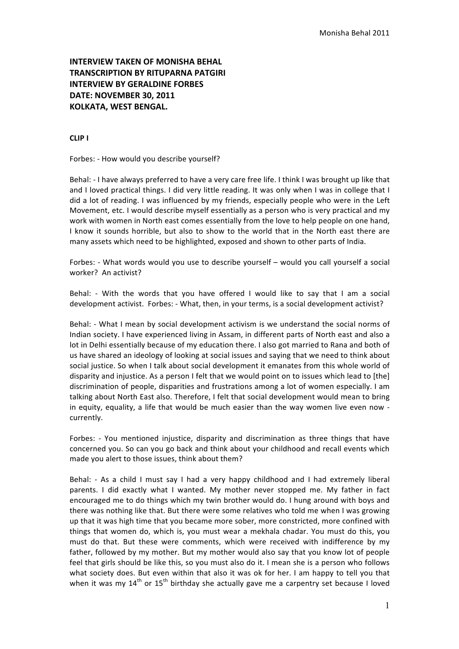# **INTERVIEW TAKEN OF MONISHA BEHAL TRANSCRIPTION BY RITUPARNA PATGIRI INTERVIEW BY GERALDINE FORBES DATE: NOVEMBER 30, 2011 KOLKATA, WEST BENGAL.**

## **CLIP I**

Forbes: - How would you describe vourself?

Behal: - I have always preferred to have a very care free life. I think I was brought up like that and I loved practical things. I did very little reading. It was only when I was in college that I did a lot of reading. I was influenced by my friends, especially people who were in the Left Movement, etc. I would describe myself essentially as a person who is very practical and my work with women in North east comes essentially from the love to help people on one hand, I know it sounds horrible, but also to show to the world that in the North east there are many assets which need to be highlighted, exposed and shown to other parts of India.

Forbes: - What words would you use to describe yourself – would you call yourself a social worker? An activist?

Behal: - With the words that you have offered I would like to say that I am a social development activist. Forbes: - What, then, in your terms, is a social development activist?

Behal: - What I mean by social development activism is we understand the social norms of Indian society. I have experienced living in Assam, in different parts of North east and also a lot in Delhi essentially because of my education there. I also got married to Rana and both of us have shared an ideology of looking at social issues and saying that we need to think about social justice. So when I talk about social development it emanates from this whole world of disparity and injustice. As a person I felt that we would point on to issues which lead to [the] discrimination of people, disparities and frustrations among a lot of women especially. I am talking about North East also. Therefore, I felt that social development would mean to bring in equity, equality, a life that would be much easier than the way women live even now currently.

Forbes: - You mentioned injustice, disparity and discrimination as three things that have concerned you. So can you go back and think about your childhood and recall events which made you alert to those issues, think about them?

Behal: - As a child I must say I had a very happy childhood and I had extremely liberal parents. I did exactly what I wanted. My mother never stopped me. My father in fact encouraged me to do things which my twin brother would do. I hung around with boys and there was nothing like that. But there were some relatives who told me when I was growing up that it was high time that you became more sober, more constricted, more confined with things that women do, which is, you must wear a mekhala chadar. You must do this, you must do that. But these were comments, which were received with indifference by my father, followed by my mother. But my mother would also say that you know lot of people feel that girls should be like this, so you must also do it. I mean she is a person who follows what society does. But even within that also it was ok for her. I am happy to tell you that when it was my  $14^{th}$  or  $15^{th}$  birthday she actually gave me a carpentry set because I loved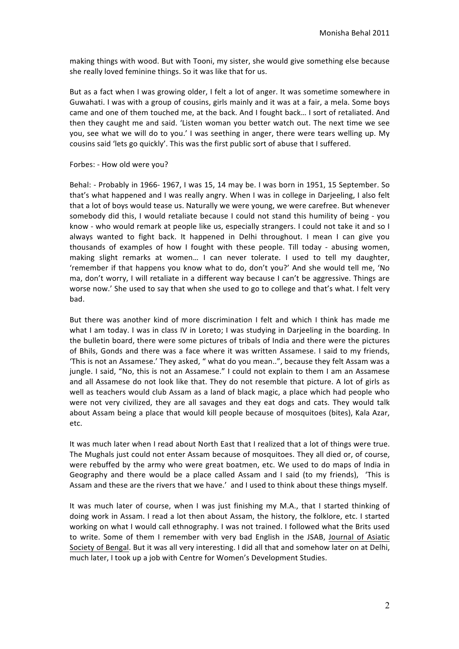making things with wood. But with Tooni, my sister, she would give something else because she really loved feminine things. So it was like that for us.

But as a fact when I was growing older, I felt a lot of anger. It was sometime somewhere in Guwahati. I was with a group of cousins, girls mainly and it was at a fair, a mela. Some boys came and one of them touched me, at the back. And I fought back... I sort of retaliated. And then they caught me and said. 'Listen woman you better watch out. The next time we see you, see what we will do to you.' I was seething in anger, there were tears welling up. My cousins said 'lets go quickly'. This was the first public sort of abuse that I suffered.

#### Forbes: - How old were you?

Behal: - Probably in 1966- 1967, I was 15, 14 may be. I was born in 1951, 15 September. So that's what happened and I was really angry. When I was in college in Darjeeling, I also felt that a lot of boys would tease us. Naturally we were young, we were carefree. But whenever somebody did this, I would retaliate because I could not stand this humility of being - you know - who would remark at people like us, especially strangers. I could not take it and so I always wanted to fight back. It happened in Delhi throughout. I mean I can give you thousands of examples of how I fought with these people. Till today - abusing women, making slight remarks at women... I can never tolerate. I used to tell my daughter, 'remember if that happens you know what to do, don't you?' And she would tell me, 'No ma, don't worry, I will retaliate in a different way because I can't be aggressive. Things are worse now.' She used to say that when she used to go to college and that's what. I felt very bad.

But there was another kind of more discrimination I felt and which I think has made me what I am today. I was in class IV in Loreto; I was studying in Darjeeling in the boarding. In the bulletin board, there were some pictures of tribals of India and there were the pictures of Bhils, Gonds and there was a face where it was written Assamese. I said to my friends, 'This is not an Assamese.' They asked, " what do you mean..", because they felt Assam was a jungle. I said, "No, this is not an Assamese." I could not explain to them I am an Assamese and all Assamese do not look like that. They do not resemble that picture. A lot of girls as well as teachers would club Assam as a land of black magic, a place which had people who were not very civilized, they are all savages and they eat dogs and cats. They would talk about Assam being a place that would kill people because of mosquitoes (bites), Kala Azar, etc.

It was much later when I read about North East that I realized that a lot of things were true. The Mughals just could not enter Assam because of mosquitoes. They all died or, of course, were rebuffed by the army who were great boatmen, etc. We used to do maps of India in Geography and there would be a place called Assam and I said (to my friends), 'This is Assam and these are the rivers that we have.' and I used to think about these things myself.

It was much later of course, when I was just finishing my M.A., that I started thinking of doing work in Assam. I read a lot then about Assam, the history, the folklore, etc. I started working on what I would call ethnography. I was not trained. I followed what the Brits used to write. Some of them I remember with very bad English in the JSAB, Journal of Asiatic Society of Bengal. But it was all very interesting. I did all that and somehow later on at Delhi, much later, I took up a job with Centre for Women's Development Studies.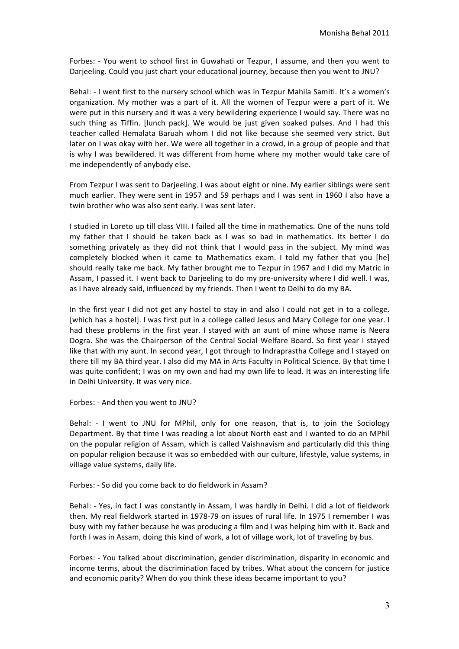Forbes: - You went to school first in Guwahati or Tezpur, I assume, and then you went to Darjeeling. Could you just chart your educational journey, because then you went to JNU?

Behal: - I went first to the nursery school which was in Tezpur Mahila Samiti. It's a women's organization. My mother was a part of it. All the women of Tezpur were a part of it. We were put in this nursery and it was a very bewildering experience I would say. There was no such thing as Tiffin. [lunch pack]. We would be just given soaked pulses. And I had this teacher called Hemalata Baruah whom I did not like because she seemed very strict. But later on I was okay with her. We were all together in a crowd, in a group of people and that is why I was bewildered. It was different from home where my mother would take care of me independently of anybody else.

From Tezpur I was sent to Darjeeling. I was about eight or nine. My earlier siblings were sent much earlier. They were sent in 1957 and 59 perhaps and I was sent in 1960 I also have a twin brother who was also sent early. I was sent later.

I studied in Loreto up till class VIII. I failed all the time in mathematics. One of the nuns told my father that I should be taken back as I was so bad in mathematics. Its better I do something privately as they did not think that I would pass in the subject. My mind was completely blocked when it came to Mathematics exam. I told my father that you [he] should really take me back. My father brought me to Tezpur in 1967 and I did my Matric in Assam, I passed it. I went back to Darjeeling to do my pre-university where I did well. I was, as I have already said, influenced by my friends. Then I went to Delhi to do my BA.

In the first year I did not get any hostel to stay in and also I could not get in to a college. [which has a hostel]. I was first put in a college called Jesus and Mary College for one year. I had these problems in the first year. I stayed with an aunt of mine whose name is Neera Dogra. She was the Chairperson of the Central Social Welfare Board. So first year I stayed like that with my aunt. In second year, I got through to Indraprastha College and I stayed on there till my BA third year. I also did my MA in Arts Faculty in Political Science. By that time I was quite confident; I was on my own and had my own life to lead. It was an interesting life in Delhi University. It was very nice.

Forbes: - And then you went to JNU?

Behal: - I went to JNU for MPhil, only for one reason, that is, to join the Sociology Department. By that time I was reading a lot about North east and I wanted to do an MPhil on the popular religion of Assam, which is called Vaishnavism and particularly did this thing on popular religion because it was so embedded with our culture, lifestyle, value systems, in village value systems, daily life.

Forbes: - So did you come back to do fieldwork in Assam?

Behal: - Yes, in fact I was constantly in Assam, I was hardly in Delhi. I did a lot of fieldwork then. My real fieldwork started in 1978-79 on issues of rural life. In 1975 I remember I was busy with my father because he was producing a film and I was helping him with it. Back and forth I was in Assam, doing this kind of work, a lot of village work, lot of traveling by bus.

Forbes: - You talked about discrimination, gender discrimination, disparity in economic and income terms, about the discrimination faced by tribes. What about the concern for justice and economic parity? When do you think these ideas became important to you?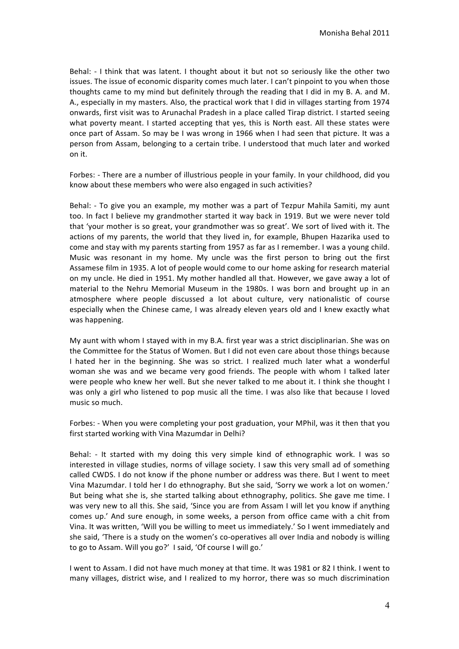Behal: - I think that was latent. I thought about it but not so seriously like the other two issues. The issue of economic disparity comes much later. I can't pinpoint to you when those thoughts came to my mind but definitely through the reading that I did in my B. A. and M. A., especially in my masters. Also, the practical work that I did in villages starting from 1974 onwards, first visit was to Arunachal Pradesh in a place called Tirap district. I started seeing what poverty meant. I started accepting that yes, this is North east. All these states were once part of Assam. So may be I was wrong in 1966 when I had seen that picture. It was a person from Assam, belonging to a certain tribe. I understood that much later and worked on it.

Forbes: - There are a number of illustrious people in your family. In your childhood, did you know about these members who were also engaged in such activities?

Behal: - To give you an example, my mother was a part of Tezpur Mahila Samiti, my aunt too. In fact I believe my grandmother started it way back in 1919. But we were never told that 'your mother is so great, your grandmother was so great'. We sort of lived with it. The actions of my parents, the world that they lived in, for example, Bhupen Hazarika used to come and stay with my parents starting from 1957 as far as I remember. I was a young child. Music was resonant in my home. My uncle was the first person to bring out the first Assamese film in 1935. A lot of people would come to our home asking for research material on my uncle. He died in 1951. My mother handled all that. However, we gave away a lot of material to the Nehru Memorial Museum in the 1980s. I was born and brought up in an atmosphere where people discussed a lot about culture, very nationalistic of course especially when the Chinese came, I was already eleven years old and I knew exactly what was happening.

My aunt with whom I stayed with in my B.A. first year was a strict disciplinarian. She was on the Committee for the Status of Women. But I did not even care about those things because I hated her in the beginning. She was so strict. I realized much later what a wonderful woman she was and we became very good friends. The people with whom I talked later were people who knew her well. But she never talked to me about it. I think she thought I was only a girl who listened to pop music all the time. I was also like that because I loved music so much.

Forbes: - When you were completing your post graduation, your MPhil, was it then that you first started working with Vina Mazumdar in Delhi?

Behal: - It started with my doing this very simple kind of ethnographic work. I was so interested in village studies, norms of village society. I saw this very small ad of something called CWDS. I do not know if the phone number or address was there. But I went to meet Vina Mazumdar. I told her I do ethnography. But she said, 'Sorry we work a lot on women.' But being what she is, she started talking about ethnography, politics. She gave me time. I was very new to all this. She said, 'Since you are from Assam I will let you know if anything comes up.' And sure enough, in some weeks, a person from office came with a chit from Vina. It was written, 'Will you be willing to meet us immediately.' So I went immediately and she said, 'There is a study on the women's co-operatives all over India and nobody is willing to go to Assam. Will you go?' I said, 'Of course I will go.'

I went to Assam. I did not have much money at that time. It was 1981 or 82 I think. I went to many villages, district wise, and I realized to my horror, there was so much discrimination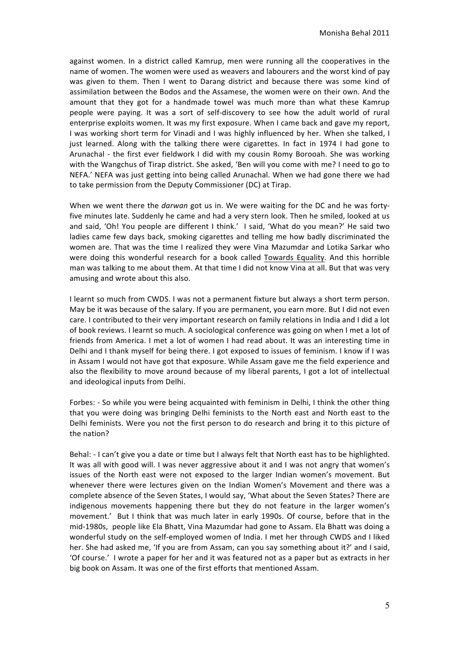against women. In a district called Kamrup, men were running all the cooperatives in the name of women. The women were used as weavers and labourers and the worst kind of pay was given to them. Then I went to Darang district and because there was some kind of assimilation between the Bodos and the Assamese, the women were on their own. And the amount that they got for a handmade towel was much more than what these Kamrup people were paying. It was a sort of self-discovery to see how the adult world of rural enterprise exploits women. It was my first exposure. When I came back and gave my report, I was working short term for Vinadi and I was highly influenced by her. When she talked, I just learned. Along with the talking there were cigarettes. In fact in 1974 I had gone to Arunachal - the first ever fieldwork I did with my cousin Romy Borooah. She was working with the Wangchus of Tirap district. She asked, 'Ben will you come with me? I need to go to NEFA.' NEFA was just getting into being called Arunachal. When we had gone there we had to take permission from the Deputy Commissioner (DC) at Tirap.

When we went there the *darwan* got us in. We were waiting for the DC and he was fortyfive minutes late. Suddenly he came and had a very stern look. Then he smiled, looked at us and said, 'Oh! You people are different I think.' I said, 'What do you mean?' He said two ladies came few days back, smoking cigarettes and telling me how badly discriminated the women are. That was the time I realized they were Vina Mazumdar and Lotika Sarkar who were doing this wonderful research for a book called Towards Equality. And this horrible man was talking to me about them. At that time I did not know Vina at all. But that was very amusing and wrote about this also.

I learnt so much from CWDS. I was not a permanent fixture but always a short term person. May be it was because of the salary. If you are permanent, you earn more. But I did not even care. I contributed to their very important research on family relations in India and I did a lot of book reviews. I learnt so much. A sociological conference was going on when I met a lot of friends from America. I met a lot of women I had read about. It was an interesting time in Delhi and I thank myself for being there. I got exposed to issues of feminism. I know if I was in Assam I would not have got that exposure. While Assam gave me the field experience and also the flexibility to move around because of my liberal parents, I got a lot of intellectual and ideological inputs from Delhi.

Forbes: - So while you were being acquainted with feminism in Delhi, I think the other thing that you were doing was bringing Delhi feminists to the North east and North east to the Delhi feminists. Were you not the first person to do research and bring it to this picture of the nation?

Behal: - I can't give you a date or time but I always felt that North east has to be highlighted. It was all with good will. I was never aggressive about it and I was not angry that women's issues of the North east were not exposed to the larger Indian women's movement. But whenever there were lectures given on the Indian Women's Movement and there was a complete absence of the Seven States, I would say, 'What about the Seven States? There are indigenous movements happening there but they do not feature in the larger women's movement.' But I think that was much later in early 1990s. Of course, before that in the mid-1980s, people like Ela Bhatt, Vina Mazumdar had gone to Assam. Ela Bhatt was doing a wonderful study on the self-employed women of India. I met her through CWDS and I liked her. She had asked me, 'If you are from Assam, can you say something about it?' and I said, 'Of course.' I wrote a paper for her and it was featured not as a paper but as extracts in her big book on Assam. It was one of the first efforts that mentioned Assam.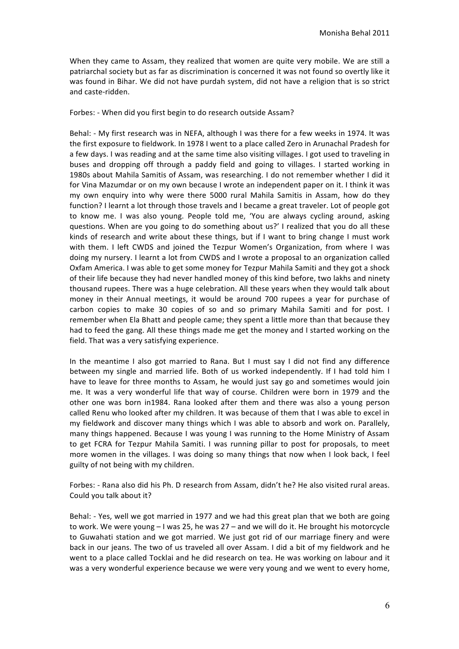When they came to Assam, they realized that women are quite very mobile. We are still a patriarchal society but as far as discrimination is concerned it was not found so overtly like it was found in Bihar. We did not have purdah system, did not have a religion that is so strict and caste-ridden.

Forbes: - When did you first begin to do research outside Assam?

Behal: - My first research was in NEFA, although I was there for a few weeks in 1974. It was the first exposure to fieldwork. In 1978 I went to a place called Zero in Arunachal Pradesh for a few days. I was reading and at the same time also visiting villages. I got used to traveling in buses and dropping off through a paddy field and going to villages. I started working in 1980s about Mahila Samitis of Assam, was researching. I do not remember whether I did it for Vina Mazumdar or on my own because I wrote an independent paper on it. I think it was my own enquiry into why were there 5000 rural Mahila Samitis in Assam, how do they function? I learnt a lot through those travels and I became a great traveler. Lot of people got to know me. I was also young. People told me, 'You are always cycling around, asking questions. When are you going to do something about us?' I realized that you do all these kinds of research and write about these things, but if I want to bring change I must work with them. I left CWDS and joined the Tezpur Women's Organization, from where I was doing my nursery. I learnt a lot from CWDS and I wrote a proposal to an organization called Oxfam America. I was able to get some money for Tezpur Mahila Samiti and they got a shock of their life because they had never handled money of this kind before, two lakhs and ninety thousand rupees. There was a huge celebration. All these years when they would talk about money in their Annual meetings, it would be around 700 rupees a year for purchase of carbon copies to make 30 copies of so and so primary Mahila Samiti and for post. I remember when Ela Bhatt and people came; they spent a little more than that because they had to feed the gang. All these things made me get the money and I started working on the field. That was a very satisfying experience.

In the meantime I also got married to Rana. But I must say I did not find any difference between my single and married life. Both of us worked independently. If I had told him I have to leave for three months to Assam, he would just say go and sometimes would join me. It was a very wonderful life that way of course. Children were born in 1979 and the other one was born in1984. Rana looked after them and there was also a young person called Renu who looked after my children. It was because of them that I was able to excel in my fieldwork and discover many things which I was able to absorb and work on. Parallely, many things happened. Because I was young I was running to the Home Ministry of Assam to get FCRA for Tezpur Mahila Samiti. I was running pillar to post for proposals, to meet more women in the villages. I was doing so many things that now when I look back, I feel guilty of not being with my children.

Forbes: - Rana also did his Ph. D research from Assam, didn't he? He also visited rural areas. Could you talk about it?

Behal: - Yes, well we got married in 1977 and we had this great plan that we both are going to work. We were young  $-1$  was 25, he was  $27 -$  and we will do it. He brought his motorcycle to Guwahati station and we got married. We just got rid of our marriage finery and were back in our jeans. The two of us traveled all over Assam. I did a bit of my fieldwork and he went to a place called Tocklai and he did research on tea. He was working on labour and it was a very wonderful experience because we were very young and we went to every home,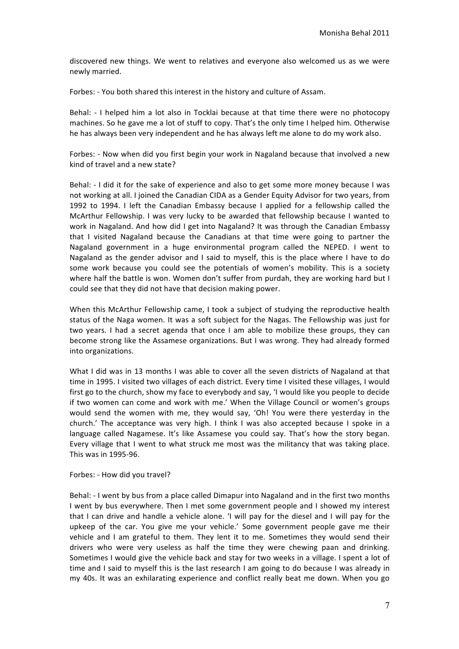discovered new things. We went to relatives and everyone also welcomed us as we were newly married.

Forbes: - You both shared this interest in the history and culture of Assam.

Behal: - I helped him a lot also in Tocklai because at that time there were no photocopy machines. So he gave me a lot of stuff to copy. That's the only time I helped him. Otherwise he has always been very independent and he has always left me alone to do my work also.

Forbes: - Now when did you first begin your work in Nagaland because that involved a new kind of travel and a new state?

Behal: - I did it for the sake of experience and also to get some more money because I was not working at all. I joined the Canadian CIDA as a Gender Equity Advisor for two years, from 1992 to 1994. I left the Canadian Embassy because I applied for a fellowship called the McArthur Fellowship. I was very lucky to be awarded that fellowship because I wanted to work in Nagaland. And how did I get into Nagaland? It was through the Canadian Embassy that I visited Nagaland because the Canadians at that time were going to partner the Nagaland government in a huge environmental program called the NEPED. I went to Nagaland as the gender advisor and I said to myself, this is the place where I have to do some work because you could see the potentials of women's mobility. This is a society where half the battle is won. Women don't suffer from purdah, they are working hard but I could see that they did not have that decision making power.

When this McArthur Fellowship came, I took a subject of studying the reproductive health status of the Naga women. It was a soft subject for the Nagas. The Fellowship was just for two years. I had a secret agenda that once I am able to mobilize these groups, they can become strong like the Assamese organizations. But I was wrong. They had already formed into organizations.

What I did was in 13 months I was able to cover all the seven districts of Nagaland at that time in 1995. I visited two villages of each district. Every time I visited these villages, I would first go to the church, show my face to everybody and say, 'I would like you people to decide if two women can come and work with me.' When the Village Council or women's groups would send the women with me, they would say, 'Oh! You were there yesterday in the church.' The acceptance was very high. I think I was also accepted because I spoke in a language called Nagamese. It's like Assamese you could say. That's how the story began. Every village that I went to what struck me most was the militancy that was taking place. This was in 1995-96.

#### Forbes: - How did you travel?

Behal: - I went by bus from a place called Dimapur into Nagaland and in the first two months I went by bus everywhere. Then I met some government people and I showed my interest that I can drive and handle a vehicle alone. 'I will pay for the diesel and I will pay for the upkeep of the car. You give me your vehicle.' Some government people gave me their vehicle and I am grateful to them. They lent it to me. Sometimes they would send their drivers who were very useless as half the time they were chewing paan and drinking. Sometimes I would give the vehicle back and stay for two weeks in a village. I spent a lot of time and I said to myself this is the last research I am going to do because I was already in my 40s. It was an exhilarating experience and conflict really beat me down. When you go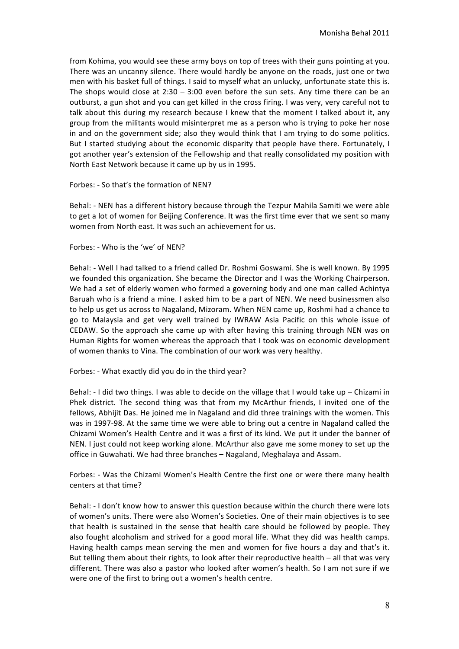from Kohima, you would see these army boys on top of trees with their guns pointing at you. There was an uncanny silence. There would hardly be anyone on the roads, just one or two men with his basket full of things. I said to myself what an unlucky, unfortunate state this is. The shops would close at  $2:30 - 3:00$  even before the sun sets. Any time there can be an outburst, a gun shot and you can get killed in the cross firing. I was very, very careful not to talk about this during my research because I knew that the moment I talked about it, any group from the militants would misinterpret me as a person who is trying to poke her nose in and on the government side; also they would think that I am trying to do some politics. But I started studying about the economic disparity that people have there. Fortunately, I got another year's extension of the Fellowship and that really consolidated my position with North East Network because it came up by us in 1995.

## Forbes: - So that's the formation of NEN?

Behal: - NEN has a different history because through the Tezpur Mahila Samiti we were able to get a lot of women for Beijing Conference. It was the first time ever that we sent so many women from North east. It was such an achievement for us.

## Forbes: - Who is the 'we' of NFN?

Behal: - Well I had talked to a friend called Dr. Roshmi Goswami. She is well known. By 1995 we founded this organization. She became the Director and I was the Working Chairperson. We had a set of elderly women who formed a governing body and one man called Achintya Baruah who is a friend a mine. I asked him to be a part of NEN. We need businessmen also to help us get us across to Nagaland, Mizoram. When NEN came up, Roshmi had a chance to go to Malaysia and get very well trained by IWRAW Asia Pacific on this whole issue of CEDAW. So the approach she came up with after having this training through NEN was on Human Rights for women whereas the approach that I took was on economic development of women thanks to Vina. The combination of our work was very healthy.

# Forbes: - What exactly did you do in the third year?

Behal:  $-1$  did two things. I was able to decide on the village that I would take up – Chizami in Phek district. The second thing was that from my McArthur friends, I invited one of the fellows, Abhijit Das. He joined me in Nagaland and did three trainings with the women. This was in 1997-98. At the same time we were able to bring out a centre in Nagaland called the Chizami Women's Health Centre and it was a first of its kind. We put it under the banner of NEN. I just could not keep working alone. McArthur also gave me some money to set up the office in Guwahati. We had three branches - Nagaland, Meghalaya and Assam.

Forbes: - Was the Chizami Women's Health Centre the first one or were there many health centers at that time?

Behal: - I don't know how to answer this question because within the church there were lots of women's units. There were also Women's Societies. One of their main objectives is to see that health is sustained in the sense that health care should be followed by people. They also fought alcoholism and strived for a good moral life. What they did was health camps. Having health camps mean serving the men and women for five hours a day and that's it. But telling them about their rights, to look after their reproductive health - all that was very different. There was also a pastor who looked after women's health. So I am not sure if we were one of the first to bring out a women's health centre.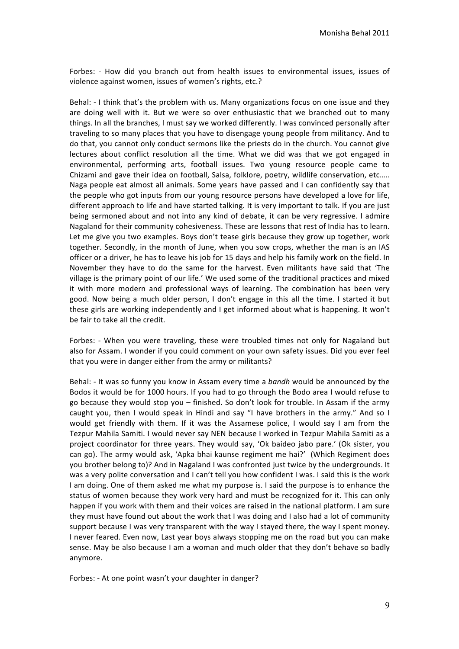Forbes: - How did you branch out from health issues to environmental issues, issues of violence against women, issues of women's rights, etc.?

Behal: - I think that's the problem with us. Many organizations focus on one issue and they are doing well with it. But we were so over enthusiastic that we branched out to many things. In all the branches, I must say we worked differently. I was convinced personally after traveling to so many places that you have to disengage young people from militancy. And to do that, you cannot only conduct sermons like the priests do in the church. You cannot give lectures about conflict resolution all the time. What we did was that we got engaged in environmental, performing arts, football issues. Two young resource people came to Chizami and gave their idea on football, Salsa, folklore, poetry, wildlife conservation, etc..... Naga people eat almost all animals. Some years have passed and I can confidently say that the people who got inputs from our young resource persons have developed a love for life, different approach to life and have started talking. It is very important to talk. If you are just being sermoned about and not into any kind of debate, it can be very regressive. I admire Nagaland for their community cohesiveness. These are lessons that rest of India has to learn. Let me give you two examples. Boys don't tease girls because they grow up together, work together. Secondly, in the month of June, when you sow crops, whether the man is an IAS officer or a driver, he has to leave his job for 15 days and help his family work on the field. In November they have to do the same for the harvest. Even militants have said that 'The village is the primary point of our life.' We used some of the traditional practices and mixed it with more modern and professional ways of learning. The combination has been very good. Now being a much older person, I don't engage in this all the time. I started it but these girls are working independently and I get informed about what is happening. It won't be fair to take all the credit.

Forbes: - When you were traveling, these were troubled times not only for Nagaland but also for Assam. I wonder if you could comment on your own safety issues. Did you ever feel that you were in danger either from the army or militants?

Behal: - It was so funny you know in Assam every time a bandh would be announced by the Bodos it would be for 1000 hours. If you had to go through the Bodo area I would refuse to go because they would stop you - finished. So don't look for trouble. In Assam if the army caught you, then I would speak in Hindi and say "I have brothers in the army." And so I would get friendly with them. If it was the Assamese police, I would say I am from the Tezpur Mahila Samiti. I would never say NEN because I worked in Tezpur Mahila Samiti as a project coordinator for three years. They would say, 'Ok baideo jabo pare.' (Ok sister, you can go). The army would ask, 'Apka bhai kaunse regiment me hai?' (Which Regiment does you brother belong to)? And in Nagaland I was confronted just twice by the undergrounds. It was a very polite conversation and I can't tell you how confident I was. I said this is the work I am doing. One of them asked me what my purpose is. I said the purpose is to enhance the status of women because they work very hard and must be recognized for it. This can only happen if you work with them and their voices are raised in the national platform. I am sure they must have found out about the work that I was doing and I also had a lot of community support because I was very transparent with the way I stayed there, the way I spent money. I never feared. Even now, Last year boys always stopping me on the road but you can make sense. May be also because I am a woman and much older that they don't behave so badly anymore.

Forbes: - At one point wasn't your daughter in danger?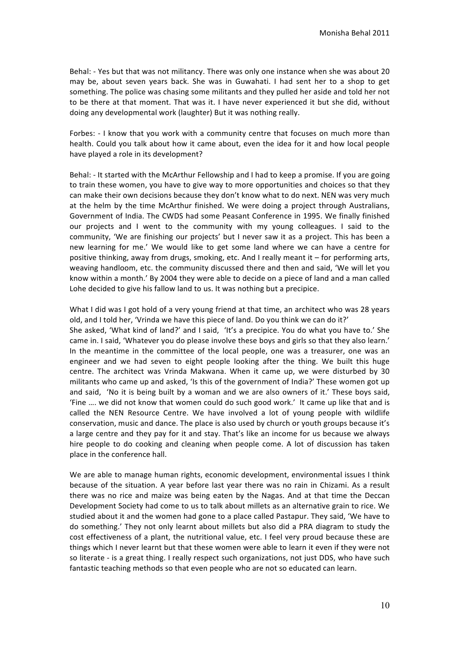Behal: - Yes but that was not militancy. There was only one instance when she was about 20 may be, about seven years back. She was in Guwahati. I had sent her to a shop to get something. The police was chasing some militants and they pulled her aside and told her not to be there at that moment. That was it. I have never experienced it but she did, without doing any developmental work (laughter) But it was nothing really.

Forbes: - I know that you work with a community centre that focuses on much more than health. Could you talk about how it came about, even the idea for it and how local people have played a role in its development?

Behal: - It started with the McArthur Fellowship and I had to keep a promise. If you are going to train these women, you have to give way to more opportunities and choices so that they can make their own decisions because they don't know what to do next. NEN was very much at the helm by the time McArthur finished. We were doing a project through Australians, Government of India. The CWDS had some Peasant Conference in 1995. We finally finished our projects and I went to the community with my young colleagues. I said to the community, 'We are finishing our projects' but I never saw it as a project. This has been a new learning for me.' We would like to get some land where we can have a centre for positive thinking, away from drugs, smoking, etc. And I really meant it – for performing arts, weaving handloom, etc. the community discussed there and then and said. 'We will let you know within a month.' By 2004 they were able to decide on a piece of land and a man called Lohe decided to give his fallow land to us. It was nothing but a precipice.

What I did was I got hold of a very young friend at that time, an architect who was 28 years old, and I told her, 'Vrinda we have this piece of land. Do you think we can do it?' She asked, 'What kind of land?' and I said, 'It's a precipice. You do what you have to.' She came in. I said, 'Whatever you do please involve these boys and girls so that they also learn.' In the meantime in the committee of the local people, one was a treasurer, one was an engineer and we had seven to eight people looking after the thing. We built this huge centre. The architect was Vrinda Makwana. When it came up, we were disturbed by 30 militants who came up and asked, 'Is this of the government of India?' These women got up and said, 'No it is being built by a woman and we are also owners of it.' These boys said, 'Fine .... we did not know that women could do such good work.' It came up like that and is called the NEN Resource Centre. We have involved a lot of young people with wildlife conservation, music and dance. The place is also used by church or youth groups because it's a large centre and they pay for it and stay. That's like an income for us because we always hire people to do cooking and cleaning when people come. A lot of discussion has taken place in the conference hall.

We are able to manage human rights, economic development, environmental issues I think because of the situation. A year before last year there was no rain in Chizami. As a result there was no rice and maize was being eaten by the Nagas. And at that time the Deccan Development Society had come to us to talk about millets as an alternative grain to rice. We studied about it and the women had gone to a place called Pastapur. They said, 'We have to do something.' They not only learnt about millets but also did a PRA diagram to study the cost effectiveness of a plant, the nutritional value, etc. I feel very proud because these are things which I never learnt but that these women were able to learn it even if they were not so literate - is a great thing. I really respect such organizations, not just DDS, who have such fantastic teaching methods so that even people who are not so educated can learn.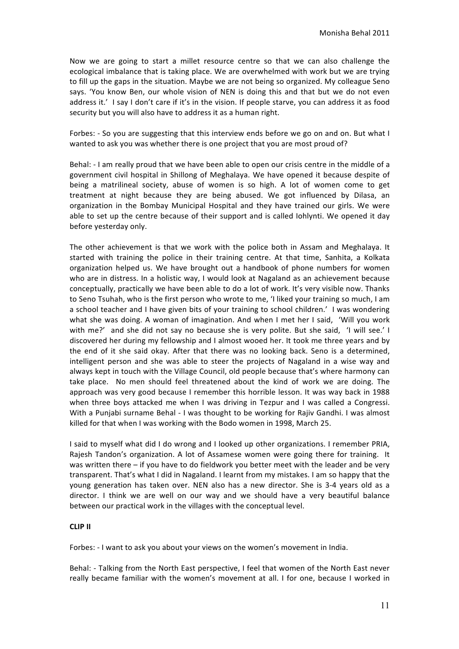Now we are going to start a millet resource centre so that we can also challenge the ecological imbalance that is taking place. We are overwhelmed with work but we are trying to fill up the gaps in the situation. Maybe we are not being so organized. My colleague Seno says. 'You know Ben, our whole vision of NEN is doing this and that but we do not even address it.' I say I don't care if it's in the vision. If people starve, you can address it as food security but you will also have to address it as a human right.

Forbes: - So you are suggesting that this interview ends before we go on and on. But what I wanted to ask you was whether there is one project that you are most proud of?

Behal: - I am really proud that we have been able to open our crisis centre in the middle of a government civil hospital in Shillong of Meghalaya. We have opened it because despite of being a matrilineal society, abuse of women is so high. A lot of women come to get treatment at night because they are being abused. We got influenced by Dilasa, an organization in the Bombay Municipal Hospital and they have trained our girls. We were able to set up the centre because of their support and is called lohlynti. We opened it day before yesterday only.

The other achievement is that we work with the police both in Assam and Meghalaya. It started with training the police in their training centre. At that time, Sanhita, a Kolkata organization helped us. We have brought out a handbook of phone numbers for women who are in distress. In a holistic way, I would look at Nagaland as an achievement because conceptually, practically we have been able to do a lot of work. It's very visible now. Thanks to Seno Tsuhah, who is the first person who wrote to me, 'I liked your training so much, I am a school teacher and I have given bits of your training to school children.' I was wondering what she was doing. A woman of imagination. And when I met her I said, 'Will you work with me?' and she did not say no because she is very polite. But she said, 'I will see.' I discovered her during my fellowship and I almost wooed her. It took me three years and by the end of it she said okay. After that there was no looking back. Seno is a determined, intelligent person and she was able to steer the projects of Nagaland in a wise way and always kept in touch with the Village Council, old people because that's where harmony can take place. No men should feel threatened about the kind of work we are doing. The approach was very good because I remember this horrible lesson. It was way back in 1988 when three boys attacked me when I was driving in Tezpur and I was called a Congressi. With a Punjabi surname Behal - I was thought to be working for Rajiv Gandhi. I was almost killed for that when I was working with the Bodo women in 1998, March 25.

I said to myself what did I do wrong and I looked up other organizations. I remember PRIA, Rajesh Tandon's organization. A lot of Assamese women were going there for training. It was written there  $-$  if you have to do fieldwork you better meet with the leader and be very transparent. That's what I did in Nagaland. I learnt from my mistakes. I am so happy that the young generation has taken over. NEN also has a new director. She is 3-4 years old as a director. I think we are well on our way and we should have a very beautiful balance between our practical work in the villages with the conceptual level.

# **CLIP II**

Forbes: - I want to ask you about your views on the women's movement in India.

Behal: - Talking from the North East perspective, I feel that women of the North East never really became familiar with the women's movement at all. I for one, because I worked in